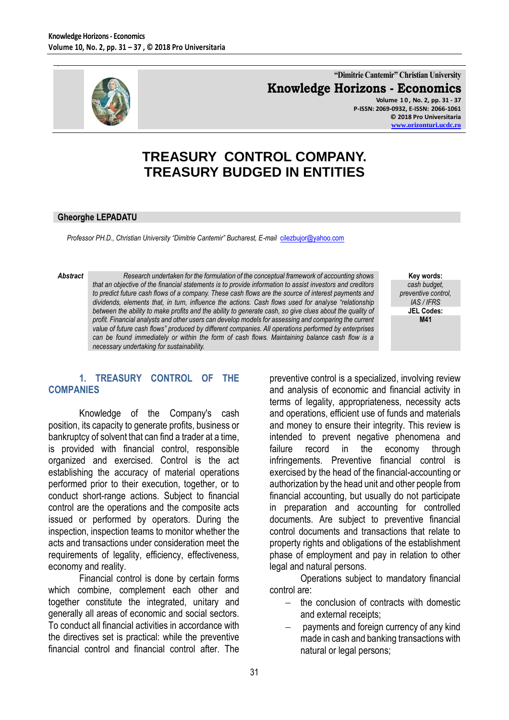

**"Dimitrie Cantemir" Christian University Knowledge Horizons - Economics Volume 1 0 , No. 2, pp. 31 - 37 P-ISSN: 2069-0932, E-ISSN: 2066-1061 © 2018 Pro Universitaria**

**[www.orizonturi.ucdc.ro](http://www.orizonturi.ucdc.ro/)**

# **TREASURY CONTROL COMPANY. TREASURY BUDGED IN ENTITIES**

#### **Gheorghe LEPADATU**

*Professor PH.D., Christian University "Dimitrie Cantemir" Bucharest, E-mail* [cilezbujor@yahoo.com](mailto:cilezbujor@yahoo.com)

*Abstract Research undertaken for the formulation of the conceptual framework of accounting shows that an objective of the financial statements is to provide information to assist investors and creditors to predict future cash flows of a company. These cash flows are the source of interest payments and dividends, elements that, in turn, influence the actions. Cash flows used for analyse "relationship between the ability to make profits and the ability to generate cash, so give clues about the quality of profit. Financial analysts and other users can develop models for assessing and comparing the current value of future cash flows" produced by different companies. All operations performed by enterprises can be found immediately or within the form of cash flows. Maintaining balance cash flow is a necessary undertaking for sustainability.*

**Key words:** *cash budget, preventive control, IAS / IFRS* **JEL Codes: M41**

#### **1. TREASURY CONTROL OF THE COMPANIES**

Knowledge of the Company's cash position, its capacity to generate profits, business or bankruptcy of solvent that can find a trader at a time, is provided with financial control, responsible organized and exercised. Control is the act establishing the accuracy of material operations performed prior to their execution, together, or to conduct short-range actions. Subject to financial control are the operations and the composite acts issued or performed by operators. During the inspection, inspection teams to monitor whether the acts and transactions under consideration meet the requirements of legality, efficiency, effectiveness, economy and reality.

Financial control is done by certain forms which combine, complement each other and together constitute the integrated, unitary and generally all areas of economic and social sectors. To conduct all financial activities in accordance with the directives set is practical: while the preventive financial control and financial control after. The

preventive control is a specialized, involving review and analysis of economic and financial activity in terms of legality, appropriateness, necessity acts and operations, efficient use of funds and materials and money to ensure their integrity. This review is intended to prevent negative phenomena and failure record in the economy through infringements. Preventive financial control is exercised by the head of the financial-accounting or authorization by the head unit and other people from financial accounting, but usually do not participate in preparation and accounting for controlled documents. Are subject to preventive financial control documents and transactions that relate to property rights and obligations of the establishment phase of employment and pay in relation to other legal and natural persons.

Operations subject to mandatory financial control are:

- $-$  the conclusion of contracts with domestic and external receipts;
- payments and foreign currency of any kind made in cash and banking transactions with natural or legal persons;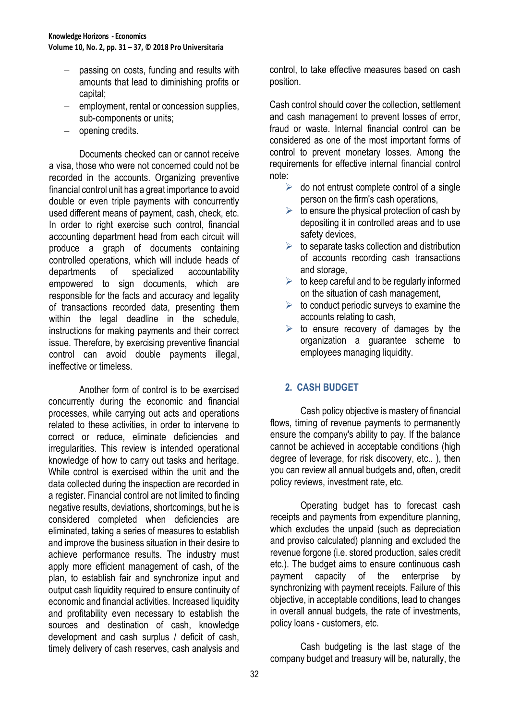- passing on costs, funding and results with amounts that lead to diminishing profits or capital;
- $-$  employment, rental or concession supplies, sub-components or units;
- opening credits.

Documents checked can or cannot receive a visa, those who were not concerned could not be recorded in the accounts. Organizing preventive financial control unit has a great importance to avoid double or even triple payments with concurrently used different means of payment, cash, check, etc. In order to right exercise such control, financial accounting department head from each circuit will produce a graph of documents containing controlled operations, which will include heads of departments of specialized accountability empowered to sign documents, which are responsible for the facts and accuracy and legality of transactions recorded data, presenting them within the legal deadline in the schedule, instructions for making payments and their correct issue. Therefore, by exercising preventive financial control can avoid double payments illegal, ineffective or timeless.

Another form of control is to be exercised concurrently during the economic and financial processes, while carrying out acts and operations related to these activities, in order to intervene to correct or reduce, eliminate deficiencies and irregularities. This review is intended operational knowledge of how to carry out tasks and heritage. While control is exercised within the unit and the data collected during the inspection are recorded in a register. Financial control are not limited to finding negative results, deviations, shortcomings, but he is considered completed when deficiencies are eliminated, taking a series of measures to establish and improve the business situation in their desire to achieve performance results. The industry must apply more efficient management of cash, of the plan, to establish fair and synchronize input and output cash liquidity required to ensure continuity of economic and financial activities. Increased liquidity and profitability even necessary to establish the sources and destination of cash, knowledge development and cash surplus / deficit of cash, timely delivery of cash reserves, cash analysis and

control, to take effective measures based on cash position.

Cash control should cover the collection, settlement and cash management to prevent losses of error, fraud or waste. Internal financial control can be considered as one of the most important forms of control to prevent monetary losses. Among the requirements for effective internal financial control note:

- $\triangleright$  do not entrust complete control of a single person on the firm's cash operations,
- $\triangleright$  to ensure the physical protection of cash by depositing it in controlled areas and to use safety devices,
- $\triangleright$  to separate tasks collection and distribution of accounts recording cash transactions and storage,
- $\triangleright$  to keep careful and to be regularly informed on the situation of cash management,
- $\triangleright$  to conduct periodic surveys to examine the accounts relating to cash,
- $\triangleright$  to ensure recovery of damages by the organization a guarantee scheme to employees managing liquidity.

## **2. CASH BUDGET**

Cash policy objective is mastery of financial flows, timing of revenue payments to permanently ensure the company's ability to pay. If the balance cannot be achieved in acceptable conditions (high degree of leverage, for risk discovery, etc.. ), then you can review all annual budgets and, often, credit policy reviews, investment rate, etc.

Operating budget has to forecast cash receipts and payments from expenditure planning, which excludes the unpaid (such as depreciation and proviso calculated) planning and excluded the revenue forgone (i.e. stored production, sales credit etc.). The budget aims to ensure continuous cash payment capacity of the enterprise by synchronizing with payment receipts. Failure of this objective, in acceptable conditions, lead to changes in overall annual budgets, the rate of investments, policy loans - customers, etc.

Cash budgeting is the last stage of the company budget and treasury will be, naturally, the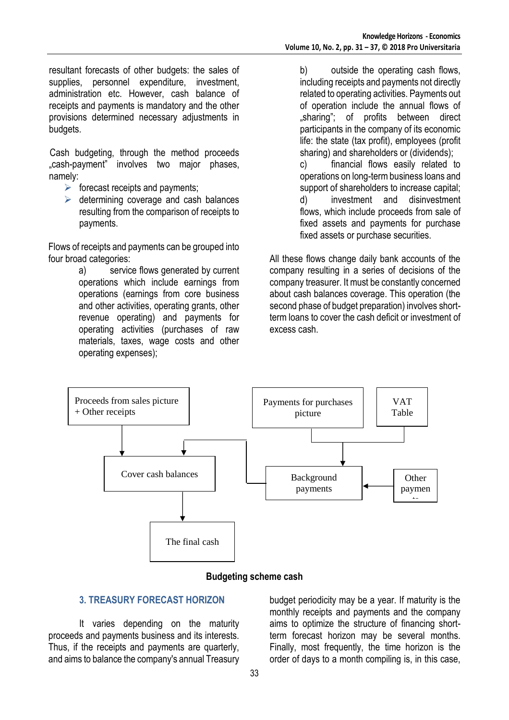resultant forecasts of other budgets: the sales of supplies, personnel expenditure, investment, administration etc. However, cash balance of receipts and payments is mandatory and the other provisions determined necessary adjustments in budgets.

Cash budgeting, through the method proceeds "cash-payment" involves two major phases, namely:

- $\triangleright$  forecast receipts and payments;
- $\triangleright$  determining coverage and cash balances resulting from the comparison of receipts to payments.

Flows of receipts and payments can be grouped into four broad categories:

> a) service flows generated by current operations which include earnings from operations (earnings from core business and other activities, operating grants, other revenue operating) and payments for operating activities (purchases of raw materials, taxes, wage costs and other operating expenses);

b) outside the operating cash flows, including receipts and payments not directly related to operating activities. Payments out of operation include the annual flows of "sharing"; of profits between direct participants in the company of its economic life: the state (tax profit), employees (profit sharing) and shareholders or (dividends); c) financial flows easily related to

operations on long-term business loans and support of shareholders to increase capital; d) investment and disinvestment flows, which include proceeds from sale of fixed assets and payments for purchase fixed assets or purchase securities.

All these flows change daily bank accounts of the company resulting in a series of decisions of the company treasurer. It must be constantly concerned about cash balances coverage. This operation (the second phase of budget preparation) involves shortterm loans to cover the cash deficit or investment of excess cash.



#### **Budgeting scheme cash**

#### **3. TREASURY FORECAST HORIZON**

It varies depending on the maturity proceeds and payments business and its interests. Thus, if the receipts and payments are quarterly, and aims to balance the company's annual Treasury budget periodicity may be a year. If maturity is the monthly receipts and payments and the company aims to optimize the structure of financing shortterm forecast horizon may be several months. Finally, most frequently, the time horizon is the order of days to a month compiling is, in this case,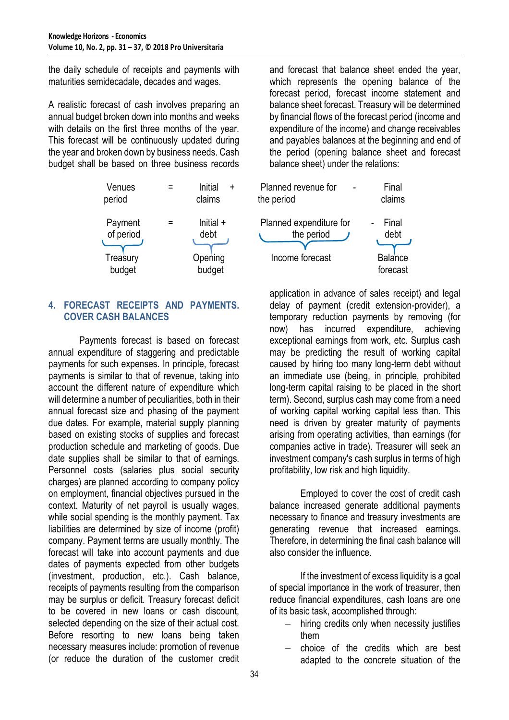the daily schedule of receipts and payments with maturities semidecadale, decades and wages.

A realistic forecast of cash involves preparing an annual budget broken down into months and weeks with details on the first three months of the year. This forecast will be continuously updated during the year and broken down by business needs. Cash budget shall be based on three business records



#### **4. FORECAST RECEIPTS AND PAYMENTS. COVER CASH BALANCES**

Payments forecast is based on forecast annual expenditure of staggering and predictable payments for such expenses. In principle, forecast payments is similar to that of revenue, taking into account the different nature of expenditure which will determine a number of peculiarities, both in their annual forecast size and phasing of the payment due dates. For example, material supply planning based on existing stocks of supplies and forecast production schedule and marketing of goods. Due date supplies shall be similar to that of earnings. Personnel costs (salaries plus social security charges) are planned according to company policy on employment, financial objectives pursued in the context. Maturity of net payroll is usually wages, while social spending is the monthly payment. Tax liabilities are determined by size of income (profit) company. Payment terms are usually monthly. The forecast will take into account payments and due dates of payments expected from other budgets (investment, production, etc.). Cash balance, receipts of payments resulting from the comparison may be surplus or deficit. Treasury forecast deficit to be covered in new loans or cash discount, selected depending on the size of their actual cost. Before resorting to new loans being taken necessary measures include: promotion of revenue (or reduce the duration of the customer credit

and forecast that balance sheet ended the year, which represents the opening balance of the forecast period, forecast income statement and balance sheet forecast. Treasury will be determined by financial flows of the forecast period (income and expenditure of the income) and change receivables and payables balances at the beginning and end of the period (opening balance sheet and forecast balance sheet) under the relations:

| Venues<br>period     |   | Initial<br>$\ddot{}$<br>claims | Planned revenue for<br>the period     | Final<br>claims            |
|----------------------|---|--------------------------------|---------------------------------------|----------------------------|
| Payment<br>of period | Ξ | Initial $+$<br>debt            | Planned expenditure for<br>the period | Final<br>debt              |
| Treasury<br>hudaet   |   | Opening<br>hudaet              | Income forecast                       | <b>Balance</b><br>forecast |

application in advance of sales receipt) and legal delay of payment (credit extension-provider), a temporary reduction payments by removing (for now) has incurred expenditure, achieving exceptional earnings from work, etc. Surplus cash may be predicting the result of working capital caused by hiring too many long-term debt without an immediate use (being, in principle, prohibited long-term capital raising to be placed in the short term). Second, surplus cash may come from a need of working capital working capital less than. This need is driven by greater maturity of payments arising from operating activities, than earnings (for companies active in trade). Treasurer will seek an investment company's cash surplus in terms of high profitability, low risk and high liquidity.

Employed to cover the cost of credit cash balance increased generate additional payments necessary to finance and treasury investments are generating revenue that increased earnings. Therefore, in determining the final cash balance will also consider the influence.

If the investment of excess liquidity is a goal of special importance in the work of treasurer, then reduce financial expenditures, cash loans are one of its basic task, accomplished through:

- hiring credits only when necessity justifies them
- choice of the credits which are best adapted to the concrete situation of the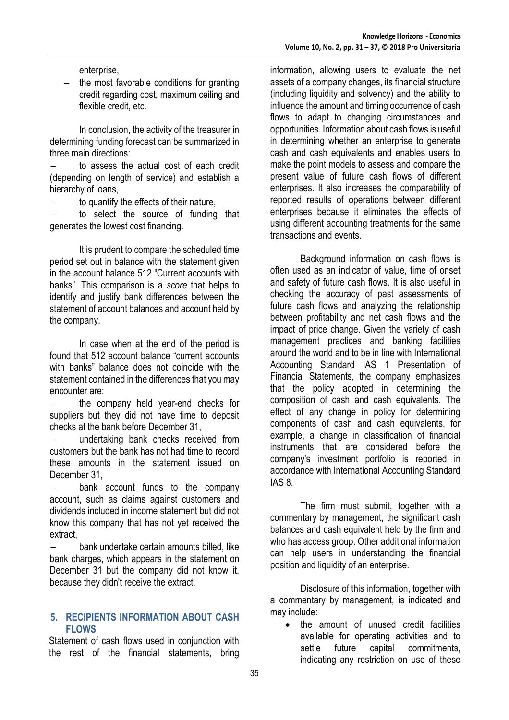enterprise,

 $-$  the most favorable conditions for granting credit regarding cost, maximum ceiling and flexible credit, etc.

In conclusion, the activity of the treasurer in determining funding forecast can be summarized in three main directions:

 to assess the actual cost of each credit (depending on length of service) and establish a hierarchy of loans,

to quantify the effects of their nature,

 to select the source of funding that generates the lowest cost financing.

It is prudent to compare the scheduled time period set out in balance with the statement given in the account balance 512 "Current accounts with banks". This comparison is a *score* that helps to identify and justify bank differences between the statement of account balances and account held by the company.

In case when at the end of the period is found that 512 account balance "current accounts with banks" balance does not coincide with the statement contained in the differences that you may encounter are:

 the company held year-end checks for suppliers but they did not have time to deposit checks at the bank before December 31,

 undertaking bank checks received from customers but the bank has not had time to record these amounts in the statement issued on December 31,

 bank account funds to the company account, such as claims against customers and dividends included in income statement but did not know this company that has not yet received the extract,

 bank undertake certain amounts billed, like bank charges, which appears in the statement on December 31 but the company did not know it, because they didn't receive the extract.

#### **5. RECIPIENTS INFORMATION ABOUT CASH FLOWS**

Statement of cash flows used in conjunction with the rest of the financial statements, bring

information, allowing users to evaluate the net assets of a company changes, its financial structure (including liquidity and solvency) and the ability to influence the amount and timing occurrence of cash flows to adapt to changing circumstances and opportunities. Information about cash flows is useful in determining whether an enterprise to generate cash and cash equivalents and enables users to make the point models to assess and compare the present value of future cash flows of different enterprises. It also increases the comparability of reported results of operations between different enterprises because it eliminates the effects of using different accounting treatments for the same transactions and events.

Background information on cash flows is often used as an indicator of value, time of onset and safety of future cash flows. It is also useful in checking the accuracy of past assessments of future cash flows and analyzing the relationship between profitability and net cash flows and the impact of price change. Given the variety of cash management practices and banking facilities around the world and to be in line with International Accounting Standard IAS 1 Presentation of Financial Statements, the company emphasizes that the policy adopted in determining the composition of cash and cash equivalents. The effect of any change in policy for determining components of cash and cash equivalents, for example, a change in classification of financial instruments that are considered before the company's investment portfolio is reported in accordance with International Accounting Standard IAS 8.

The firm must submit, together with a commentary by management, the significant cash balances and cash equivalent held by the firm and who has access group. Other additional information can help users in understanding the financial position and liquidity of an enterprise.

Disclosure of this information, together with a commentary by management, is indicated and may include:

• the amount of unused credit facilities available for operating activities and to settle future capital commitments, indicating any restriction on use of these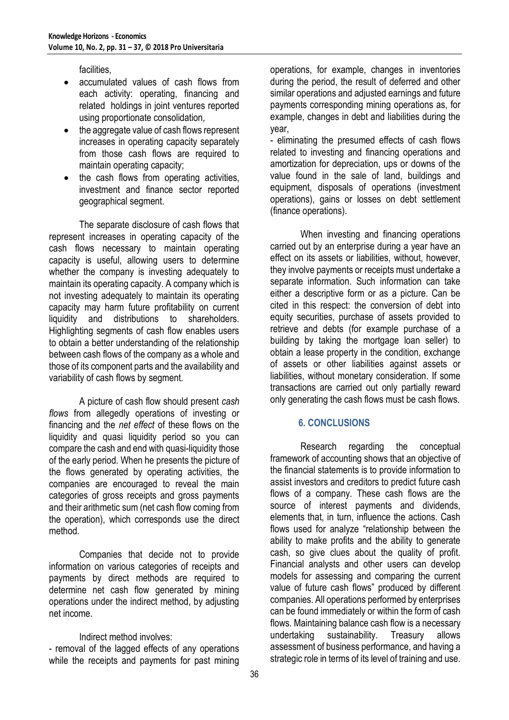facilities,

- accumulated values of cash flows from each activity: operating, financing and related holdings in joint ventures reported using proportionate consolidation,
- the aggregate value of cash flows represent increases in operating capacity separately from those cash flows are required to maintain operating capacity;
- the cash flows from operating activities, investment and finance sector reported geographical segment.

The separate disclosure of cash flows that represent increases in operating capacity of the cash flows necessary to maintain operating capacity is useful, allowing users to determine whether the company is investing adequately to maintain its operating capacity. A company which is not investing adequately to maintain its operating capacity may harm future profitability on current liquidity and distributions to shareholders. Highlighting segments of cash flow enables users to obtain a better understanding of the relationship between cash flows of the company as a whole and those of its component parts and the availability and variability of cash flows by segment.

A picture of cash flow should present *cash flows* from allegedly operations of investing or financing and the *net effect* of these flows on the liquidity and quasi liquidity period so you can compare the cash and end with quasi-liquidity those of the early period. When he presents the picture of the flows generated by operating activities, the companies are encouraged to reveal the main categories of gross receipts and gross payments and their arithmetic sum (net cash flow coming from the operation), which corresponds use the direct method.

Companies that decide not to provide information on various categories of receipts and payments by direct methods are required to determine net cash flow generated by mining operations under the indirect method, by adjusting net income.

Indirect method involves:

- removal of the lagged effects of any operations while the receipts and payments for past mining operations, for example, changes in inventories during the period, the result of deferred and other similar operations and adjusted earnings and future payments corresponding mining operations as, for example, changes in debt and liabilities during the year,

- eliminating the presumed effects of cash flows related to investing and financing operations and amortization for depreciation, ups or downs of the value found in the sale of land, buildings and equipment, disposals of operations (investment operations), gains or losses on debt settlement (finance operations).

When investing and financing operations carried out by an enterprise during a year have an effect on its assets or liabilities, without, however, they involve payments or receipts must undertake a separate information. Such information can take either a descriptive form or as a picture. Can be cited in this respect: the conversion of debt into equity securities, purchase of assets provided to retrieve and debts (for example purchase of a building by taking the mortgage loan seller) to obtain a lease property in the condition, exchange of assets or other liabilities against assets or liabilities, without monetary consideration. If some transactions are carried out only partially reward only generating the cash flows must be cash flows.

#### **6. CONCLUSIONS**

Research regarding the conceptual framework of accounting shows that an objective of the financial statements is to provide information to assist investors and creditors to predict future cash flows of a company. These cash flows are the source of interest payments and dividends, elements that, in turn, influence the actions. Cash flows used for analyze "relationship between the ability to make profits and the ability to generate cash, so give clues about the quality of profit. Financial analysts and other users can develop models for assessing and comparing the current value of future cash flows" produced by different companies. All operations performed by enterprises can be found immediately or within the form of cash flows. Maintaining balance cash flow is a necessary undertaking sustainability. Treasury allows assessment of business performance, and having a strategic role in terms of its level of training and use.